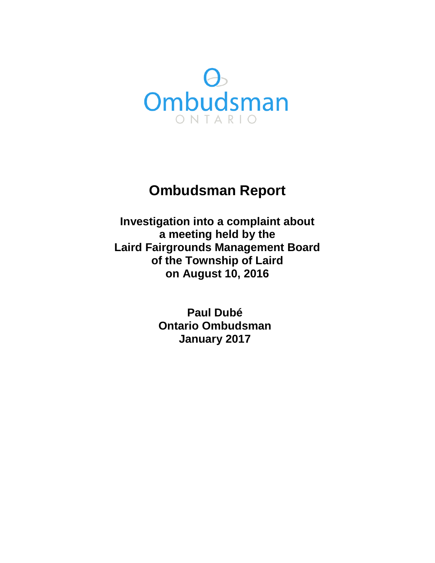

# **Ombudsman Report**

**Investigation into a complaint about a meeting held by the Laird Fairgrounds Management Board of the Township of Laird on August 10, 2016** 

> **Paul Dubé Ontario Ombudsman January 2017**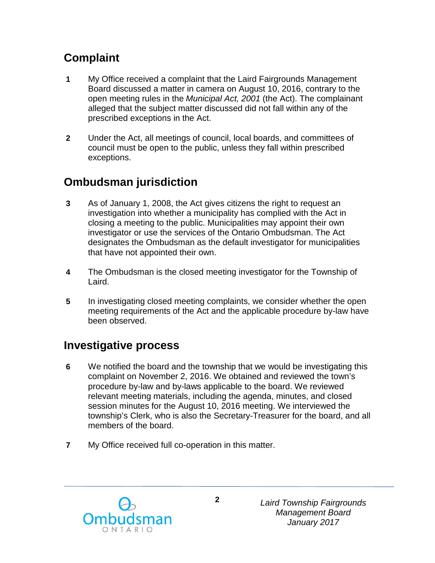## **Complaint**

- **1** My Office received a complaint that the Laird Fairgrounds Management Board discussed a matter in camera on August 10, 2016, contrary to the open meeting rules in the *Municipal Act, 2001* (the Act). The complainant alleged that the subject matter discussed did not fall within any of the prescribed exceptions in the Act.
- **2** Under the Act, all meetings of council, local boards, and committees of council must be open to the public, unless they fall within prescribed exceptions.

## **Ombudsman jurisdiction**

- **3** As of January 1, 2008, the Act gives citizens the right to request an investigation into whether a municipality has complied with the Act in closing a meeting to the public. Municipalities may appoint their own investigator or use the services of the Ontario Ombudsman. The Act designates the Ombudsman as the default investigator for municipalities that have not appointed their own.
- **4** The Ombudsman is the closed meeting investigator for the Township of Laird.
- **5** In investigating closed meeting complaints, we consider whether the open meeting requirements of the Act and the applicable procedure by-law have been observed.

### **Investigative process**

- **6** We notified the board and the township that we would be investigating this complaint on November 2, 2016. We obtained and reviewed the town's procedure by-law and by-laws applicable to the board. We reviewed relevant meeting materials, including the agenda, minutes, and closed session minutes for the August 10, 2016 meeting. We interviewed the township's Clerk, who is also the Secretary-Treasurer for the board, and all members of the board.
- **7** My Office received full co-operation in this matter.

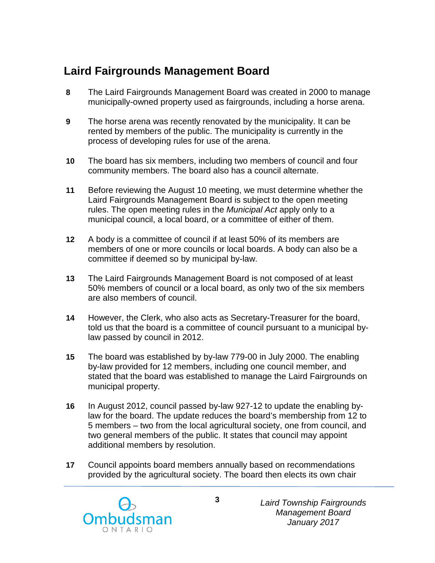## **Laird Fairgrounds Management Board**

- **8** The Laird Fairgrounds Management Board was created in 2000 to manage municipally-owned property used as fairgrounds, including a horse arena.
- **9** The horse arena was recently renovated by the municipality. It can be rented by members of the public. The municipality is currently in the process of developing rules for use of the arena.
- **10** The board has six members, including two members of council and four community members. The board also has a council alternate.
- **11** Before reviewing the August 10 meeting, we must determine whether the Laird Fairgrounds Management Board is subject to the open meeting rules. The open meeting rules in the *Municipal Act* apply only to a municipal council, a local board, or a committee of either of them.
- **12** A body is a committee of council if at least 50% of its members are members of one or more councils or local boards. A body can also be a committee if deemed so by municipal by-law.
- **13** The Laird Fairgrounds Management Board is not composed of at least 50% members of council or a local board, as only two of the six members are also members of council.
- **14** However, the Clerk, who also acts as Secretary-Treasurer for the board, told us that the board is a committee of council pursuant to a municipal bylaw passed by council in 2012.
- **15** The board was established by by-law 779-00 in July 2000. The enabling by-law provided for 12 members, including one council member, and stated that the board was established to manage the Laird Fairgrounds on municipal property.
- **16** In August 2012, council passed by-law 927-12 to update the enabling bylaw for the board. The update reduces the board's membership from 12 to 5 members – two from the local agricultural society, one from council, and two general members of the public. It states that council may appoint additional members by resolution.
- **17** Council appoints board members annually based on recommendations provided by the agricultural society. The board then elects its own chair



*Laird Township Fairgrounds Management Board January 2017*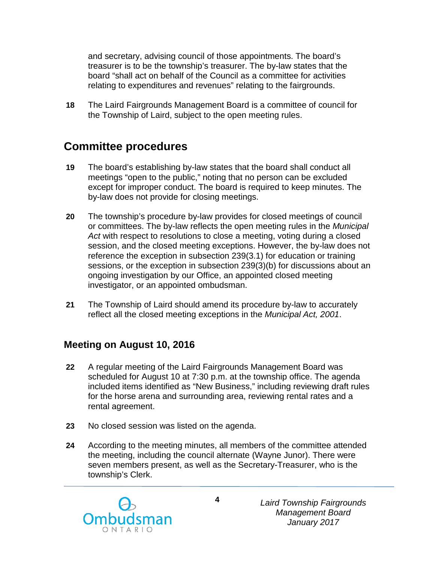and secretary, advising council of those appointments. The board's treasurer is to be the township's treasurer. The by-law states that the board "shall act on behalf of the Council as a committee for activities relating to expenditures and revenues" relating to the fairgrounds.

**18** The Laird Fairgrounds Management Board is a committee of council for the Township of Laird, subject to the open meeting rules.

#### **Committee procedures**

- **19** The board's establishing by-law states that the board shall conduct all meetings "open to the public," noting that no person can be excluded except for improper conduct. The board is required to keep minutes. The by-law does not provide for closing meetings.
- **20** The township's procedure by-law provides for closed meetings of council or committees. The by-law reflects the open meeting rules in the *Municipal Act* with respect to resolutions to close a meeting, voting during a closed session, and the closed meeting exceptions. However, the by-law does not reference the exception in subsection 239(3.1) for education or training sessions, or the exception in subsection 239(3)(b) for discussions about an ongoing investigation by our Office, an appointed closed meeting investigator, or an appointed ombudsman.
- **21** The Township of Laird should amend its procedure by-law to accurately reflect all the closed meeting exceptions in the *Municipal Act, 2001*.

#### **Meeting on August 10, 2016**

- **22** A regular meeting of the Laird Fairgrounds Management Board was scheduled for August 10 at 7:30 p.m. at the township office. The agenda included items identified as "New Business," including reviewing draft rules for the horse arena and surrounding area, reviewing rental rates and a rental agreement.
- **23** No closed session was listed on the agenda.
- **24** According to the meeting minutes, all members of the committee attended the meeting, including the council alternate (Wayne Junor). There were seven members present, as well as the Secretary-Treasurer, who is the township's Clerk.



*Laird Township Fairgrounds Management Board January 2017*

**4**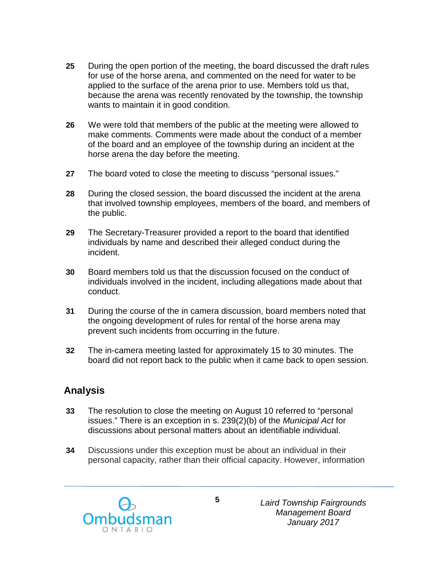- **25** During the open portion of the meeting, the board discussed the draft rules for use of the horse arena, and commented on the need for water to be applied to the surface of the arena prior to use. Members told us that, because the arena was recently renovated by the township, the township wants to maintain it in good condition.
- **26** We were told that members of the public at the meeting were allowed to make comments. Comments were made about the conduct of a member of the board and an employee of the township during an incident at the horse arena the day before the meeting.
- **27** The board voted to close the meeting to discuss "personal issues."
- **28** During the closed session, the board discussed the incident at the arena that involved township employees, members of the board, and members of the public.
- **29** The Secretary-Treasurer provided a report to the board that identified individuals by name and described their alleged conduct during the incident.
- **30** Board members told us that the discussion focused on the conduct of individuals involved in the incident, including allegations made about that conduct.
- **31** During the course of the in camera discussion, board members noted that the ongoing development of rules for rental of the horse arena may prevent such incidents from occurring in the future.
- **32** The in-camera meeting lasted for approximately 15 to 30 minutes. The board did not report back to the public when it came back to open session.

#### **Analysis**

- **33** The resolution to close the meeting on August 10 referred to "personal issues." There is an exception in s. 239(2)(b) of the *Municipal Act* for discussions about personal matters about an identifiable individual.
- **34** Discussions under this exception must be about an individual in their personal capacity, rather than their official capacity. However, information



*Laird Township Fairgrounds Management Board January 2017*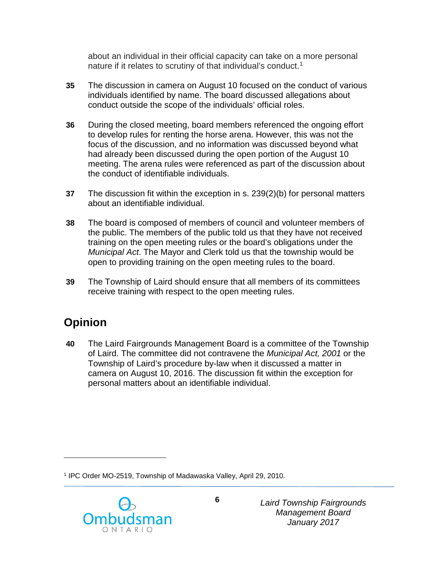about an individual in their official capacity can take on a more personal nature if it relates to scrutiny of that individual's conduct.<sup>[1](#page-5-0)</sup>

- **35** The discussion in camera on August 10 focused on the conduct of various individuals identified by name. The board discussed allegations about conduct outside the scope of the individuals' official roles.
- **36** During the closed meeting, board members referenced the ongoing effort to develop rules for renting the horse arena. However, this was not the focus of the discussion, and no information was discussed beyond what had already been discussed during the open portion of the August 10 meeting. The arena rules were referenced as part of the discussion about the conduct of identifiable individuals.
- **37** The discussion fit within the exception in s. 239(2)(b) for personal matters about an identifiable individual.
- **38** The board is composed of members of council and volunteer members of the public. The members of the public told us that they have not received training on the open meeting rules or the board's obligations under the *Municipal Act*. The Mayor and Clerk told us that the township would be open to providing training on the open meeting rules to the board.
- **39** The Township of Laird should ensure that all members of its committees receive training with respect to the open meeting rules.

## **Opinion**

 $\overline{a}$ 

**40** The Laird Fairgrounds Management Board is a committee of the Township of Laird. The committee did not contravene the *Municipal Act, 2001* or the Township of Laird's procedure by-law when it discussed a matter in camera on August 10, 2016. The discussion fit within the exception for personal matters about an identifiable individual.

<span id="page-5-0"></span><sup>1</sup> IPC Order MO-2519, Township of Madawaska Valley, April 29, 2010.